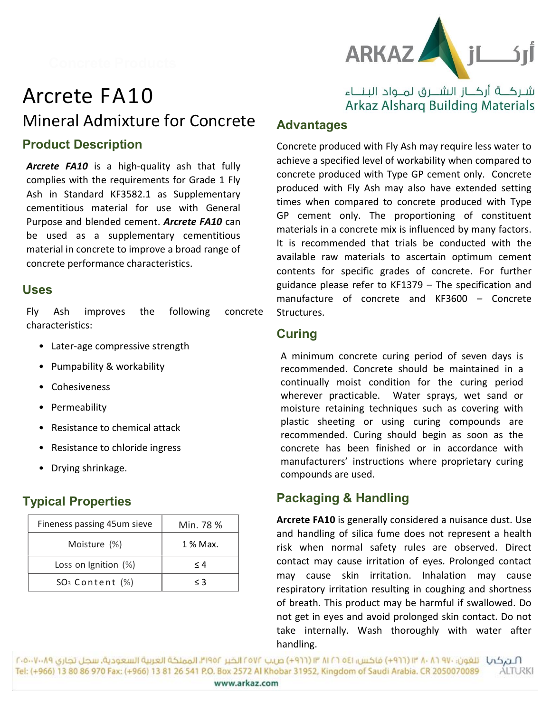

# Arcrete FA10 Mineral Admixture for Concrete Product Description

Arcrete FA10 is a high-quality ash that fully complies with the requirements for Grade 1 Fly Ash in Standard KF3582.1 as Supplementary cementitious material for use with General Purpose and blended cement. **Arcrete FA10** can be used as a supplementary cementitious material in concrete to improve a broad range of concrete performance characteristics.

#### Uses

Fly Ash improves the following concrete characteristics:

- Later-age compressive strength
- Pumpability & workability
- Cohesiveness
- Permeability
- Resistance to chemical attack
- Resistance to chloride ingress
- Drying shrinkage.

# Typical Properties

| Fineness passing 45um sieve | Min. 78 % |
|-----------------------------|-----------|
| Moisture (%)                | 1 % Max.  |
| Loss on Ignition (%)        | $\leq 4$  |
| $SO3$ Content $(\%)$        | $\leq 3$  |

## شـركـــة أركـــاز الشــــرق لمــواد البـنـــاء **Arkaz Alsharg Building Materials**

### Advantages

Concrete produced with Fly Ash may require less water to achieve a specified level of workability when compared to concrete produced with Type GP cement only. Concrete produced with Fly Ash may also have extended setting times when compared to concrete produced with Type GP cement only. The proportioning of constituent materials in a concrete mix is influenced by many factors. It is recommended that trials be conducted with the available raw materials to ascertain optimum cement contents for specific grades of concrete. For further guidance please refer to KF1379 – The specification and manufacture of concrete and KF3600 – Concrete Structures.

## Curing

A minimum concrete curing period of seven days is recommended. Concrete should be maintained in a continually moist condition for the curing period wherever practicable. Water sprays, wet sand or moisture retaining techniques such as covering with plastic sheeting or using curing compounds are recommended. Curing should begin as soon as the concrete has been finished or in accordance with manufacturers' instructions where proprietary curing compounds are used.

## Packaging & Handling

Arcrete FA10 is generally considered a nuisance dust. Use and handling of silica fume does not represent a health risk when normal safety rules are observed. Direct contact may cause irritation of eyes. Prolonged contact may cause skin irritation. Inhalation may cause respiratory irritation resulting in coughing and shortness of breath. This product may be harmful if swallowed. Do not get in eyes and avoid prolonged skin contact. Do not take internally. Wash thoroughly with water after handling.

المركب اللغون: ٧٠ ١٨ / ١٣ (٢٩٦٦) فاكس: ٥٤١ ٢ / ١٢ ١٣ (٢٩٦٦) ص.ب ٢٥٧٢ الخبر ١٩٥٢، المملكة العربية السعودية. سجل تجاري ٨٠٠٧٠٠٥٠٧ Tel: (+966) 13 80 86 970 Fax: (+966) 13 81 26 541 P.O. Box 2572 Al Khobar 31952, Kingdom of Saudi Arabia. CR 2050070089 **ALTURKI** www.arkaz.com